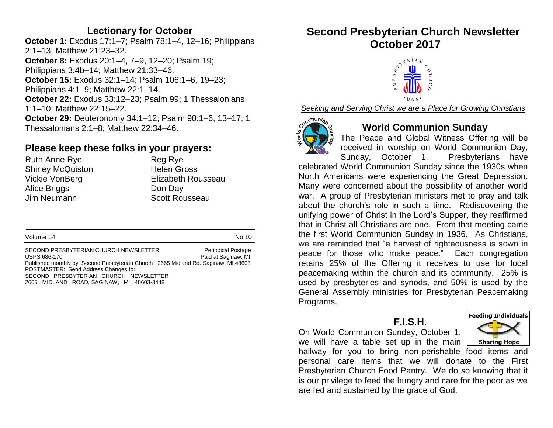#### **Lectionary for October**

**October 1:** Exodus 17:1–7; Psalm 78:1–4, 12–16; Philippians 2:1–13; Matthew 21:23–32. **October 8:** Exodus 20:1–4, 7–9, 12–20; Psalm 19; Philippians 3:4b–14; Matthew 21:33–46. **October 15:** Exodus 32:1–14; Psalm 106:1–6, 19–23; Philippians 4:1–9; Matthew 22:1–14. **October 22:** Exodus 33:12–23; Psalm 99; 1 Thessalonians 1:1–10; Matthew 22:15–22. **October 29:** Deuteronomy 34:1–12; Psalm 90:1–6, 13–17; 1 Thessalonians 2:1–8; Matthew 22:34–46.

## **Please keep these folks in your prayers:**

Ruth Anne Rye Reg Rye Shirley McQuiston **Helen Gross** Alice Briggs **Don Day** Jim Neumann Scott Rousseau

Vickie VonBerg **Elizabeth Rousseau** 

Volume 34 No.10

SECOND PRESBYTERIAN CHURCH NEWSLETTER Periodical Postage USPS 686-170 **Paid at Saginaw, MI** Published monthly by: Second Presbyterian Church 2665 Midland Rd. Saginaw, MI 48603 POSTMASTER: Send Address Changes to: SECOND PRESBYTERIAN CHURCH NEWSLETTER 2665 MIDLAND ROAD, SAGINAW, MI. 48603-3448

# **Second Presbyterian Church Newsletter October 2017**



*Seeking and Serving Christ we are a Place for Growing Christians*



### **World Communion Sunday**

The Peace and Global Witness Offering will be received in worship on World Communion Day, Sunday, October 1. Presbyterians have

celebrated World Communion Sunday since the 1930s when North Americans were experiencing the Great Depression. Many were concerned about the possibility of another world war. A group of Presbyterian ministers met to pray and talk about the church's role in such a time. Rediscovering the unifying power of Christ in the Lord's Supper, they reaffirmed that in Christ all Christians are one. From that meeting came the first World Communion Sunday in 1936. As Christians, we are reminded that "a harvest of righteousness is sown in peace for those who make peace." Each congregation retains 25% of the Offering it receives to use for local peacemaking within the church and its community. 25% is used by presbyteries and synods, and 50% is used by the General Assembly ministries for Presbyterian Peacemaking Programs.

#### **F.I.S.H.**

On World Communion Sunday, October 1, we will have a table set up in the main



hallway for you to bring non-perishable food items and personal care items that we will donate to the First Presbyterian Church Food Pantry. We do so knowing that it is our privilege to feed the hungry and care for the poor as we are fed and sustained by the grace of God.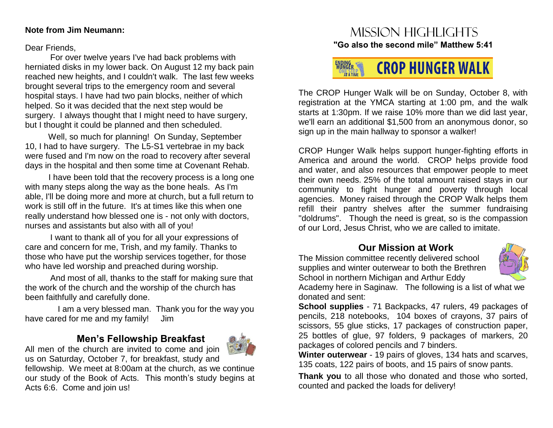#### **Note from Jim Neumann:**

Dear Friends,

 For over twelve years I've had back problems with herniated disks in my lower back. On August 12 my back pain reached new heights, and I couldn't walk. The last few weeks brought several trips to the emergency room and several hospital stays. I have had two pain blocks, neither of which helped. So it was decided that the next step would be surgery. I always thought that I might need to have surgery, but I thought it could be planned and then scheduled.

 Well, so much for planning! On Sunday, September 10, I had to have surgery. The L5-S1 vertebrae in my back were fused and I'm now on the road to recovery after several days in the hospital and then some time at Covenant Rehab.

 I have been told that the recovery process is a long one with many steps along the way as the bone heals. As I'm able, I'll be doing more and more at church, but a full return to work is still off in the future. It's at times like this when one really understand how blessed one is - not only with doctors, nurses and assistants but also with all of you!

I want to thank all of you for all your expressions of care and concern for me, Trish, and my family. Thanks to those who have put the worship services together, for those who have led worship and preached during worship.

And most of all, thanks to the staff for making sure that the work of the church and the worship of the church has been faithfully and carefully done.

 I am a very blessed man. Thank you for the way you have cared for me and my family! Jim

# **Men's Fellowship Breakfast**



All men of the church are invited to come and join us on Saturday, October 7, for breakfast, study and

fellowship. We meet at 8:00am at the church, as we continue our study of the Book of Acts. This month's study begins at Acts 6:6. Come and join us!

# Mission highlights **"Go also the second mile" Matthew 5:41**



The CROP Hunger Walk will be on Sunday, October 8, with registration at the YMCA starting at 1:00 pm, and the walk starts at 1:30pm. If we raise 10% more than we did last year, we'll earn an additional \$1,500 from an anonymous donor, so sign up in the main hallway to sponsor a walker!

CROP Hunger Walk helps support hunger-fighting efforts in America and around the world. CROP helps provide food and water, and also resources that empower people to meet their own needs. 25% of the total amount raised stays in our community to fight hunger and poverty through local agencies. Money raised through the CROP Walk helps them refill their pantry shelves after the summer fundraising "doldrums". Though the need is great, so is the compassion of our Lord, Jesus Christ, who we are called to imitate.

## **Our Mission at Work**

The Mission committee recently delivered school supplies and winter outerwear to both the Brethren School in northern Michigan and Arthur Eddy



Academy here in Saginaw. The following is a list of what we donated and sent:

**School supplies** - 71 Backpacks, 47 rulers, 49 packages of pencils, 218 notebooks, 104 boxes of crayons, 37 pairs of scissors, 55 glue sticks, 17 packages of construction paper, 25 bottles of glue, 97 folders, 9 packages of markers, 20 packages of colored pencils and 7 binders.

**Winter outerwear** - 19 pairs of gloves, 134 hats and scarves, 135 coats, 122 pairs of boots, and 15 pairs of snow pants.

**Thank you** to all those who donated and those who sorted, counted and packed the loads for delivery!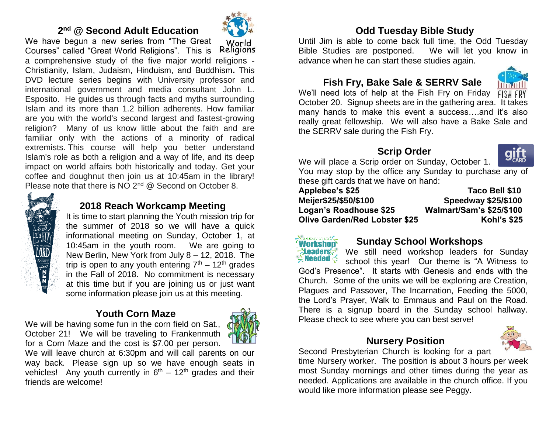#### **2 nd @ Second Adult Education**

We have begun a new series from "The Great World Religions Courses" called "Great World Religions". This is a comprehensive study of the five major world religions - Christianity, Islam, Judaism, Hinduism, and Buddhism**.** This DVD lecture series begins with University professor and international government and media consultant John L. Esposito. He guides us through facts and myths surrounding Islam and its more than 1.2 billion adherents. How familiar are you with the world's second largest and fastest-growing religion? Many of us know little about the faith and are familiar only with the actions of a minority of radical extremists. This course will help you better understand Islam's role as both a religion and a way of life, and its deep impact on world affairs both historically and today. Get your coffee and doughnut then join us at 10:45am in the library! Please note that there is NO 2<sup>nd</sup> @ Second on October 8.



# **2018 Reach Workcamp Meeting**

It is time to start planning the Youth mission trip for the summer of 2018 so we will have a quick informational meeting on Sunday, October 1, at 10:45am in the youth room. We are going to New Berlin, New York from July 8 – 12, 2018. The trip is open to any youth entering  $7<sup>th</sup> - 12<sup>th</sup>$  grades in the Fall of 2018. No commitment is necessary at this time but if you are joining us or just want some information please join us at this meeting.

### **Youth Corn Maze**

We will be having some fun in the corn field on Sat., October 21! We will be traveling to Frankenmuth for a Corn Maze and the cost is \$7.00 per person.



We will leave church at 6:30pm and will call parents on our way back. Please sign up so we have enough seats in vehicles! Any youth currently in  $6<sup>th</sup> - 12<sup>th</sup>$  grades and their friends are welcome!

# **Odd Tuesday Bible Study**

Until Jim is able to come back full time, the Odd Tuesday Bible Studies are postponed. We will let you know in advance when he can start these studies again.

# **Fish Fry, Bake Sale & SERRV Sale**



We'll need lots of help at the Fish Fry on Friday  $\sqrt{f(S) + f(S)}$ October 20. Signup sheets are in the gathering area. It takes many hands to make this event a success….and it's also really great fellowship. We will also have a Bake Sale and the SERRV sale during the Fish Fry.

## **Scrip Order**



We will place a Scrip order on Sunday, October 1. You may stop by the office any Sunday to purchase any of

these gift cards that we have on hand: **Applebee's \$25 Taco Bell \$10 Meijer\$25/\$50/\$100 Speedway \$25/\$100 Logan's Roadhouse \$25 Walmart/Sam's \$25/\$100 Olive Garden/Red Lobster \$25 Kohl's \$25** 



### **Sunday School Workshops**

We still need workshop leaders for Sunday school this year! Our theme is "A Witness to God's Presence". It starts with Genesis and ends with the Church. Some of the units we will be exploring are Creation, Plagues and Passover, The Incarnation, Feeding the 5000, the Lord's Prayer, Walk to Emmaus and Paul on the Road. There is a signup board in the Sunday school hallway. Please check to see where you can best serve!

#### **Nursery Position**



Second Presbyterian Church is looking for a part

time Nursery worker. The position is about 3 hours per week most Sunday mornings and other times during the year as needed. Applications are available in the church office. If you would like more information please see Peggy.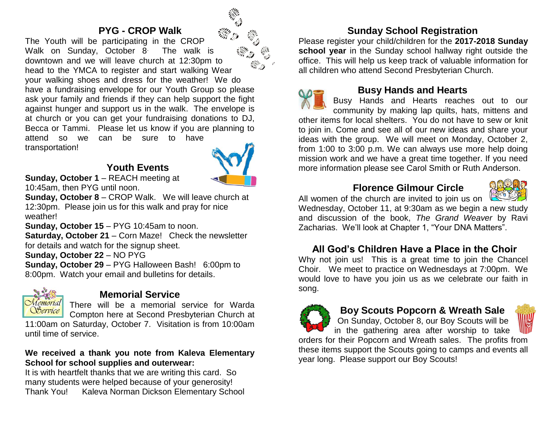#### **PYG - CROP Walk**

The Youth will be participating in the CROP Walk on Sunday, October 8<sup>.</sup> The walk is downtown and we will leave church at 12:30pm to head to the YMCA to register and start walking Wear your walking shoes and dress for the weather! We do have a fundraising envelope for our Youth Group so please ask your family and friends if they can help support the fight against hunger and support us in the walk. The envelope is at church or you can get your fundraising donations to DJ, Becca or Tammi. Please let us know if you are planning to attend so we can be sure to have transportation!

## **Youth Events**



**Sunday, October 1** – REACH meeting at 10:45am, then PYG until noon.

**Sunday, October 8** – CROP Walk. We will leave church at 12:30pm. Please join us for this walk and pray for nice weather!

**Sunday, October 15** – PYG 10:45am to noon.

**Saturday, October 21** – Corn Maze! Check the newsletter for details and watch for the signup sheet.

**Sunday, October 22** – NO PYG

**Sunday, October 29** – PYG Halloween Bash! 6:00pm to 8:00pm. Watch your email and bulletins for details.



### **Memorial Service**

There will be a memorial service for Warda Compton here at Second Presbyterian Church at

11:00am on Saturday, October 7. Visitation is from 10:00am until time of service.

#### **We received a thank you note from Kaleva Elementary School for school supplies and outerwear:**

It is with heartfelt thanks that we are writing this card. So many students were helped because of your generosity! Thank You! Kaleva Norman Dickson Elementary School

## **Sunday School Registration**

Please register your child/children for the **2017-2018 Sunday school year** in the Sunday school hallway right outside the office. This will help us keep track of valuable information for all children who attend Second Presbyterian Church.



#### **Busy Hands and Hearts**

Busy Hands and Hearts reaches out to our community by making lap quilts, hats, mittens and other items for local shelters. You do not have to sew or knit to join in. Come and see all of our new ideas and share your ideas with the group. We will meet on Monday, October 2, from 1:00 to 3:00 p.m. We can always use more help doing mission work and we have a great time together. If you need more information please see Carol Smith or Ruth Anderson.

## **Florence Gilmour Circle**



All women of the church are invited to join us on

Wednesday, October 11, at 9:30am as we begin a new study and discussion of the book, *The Grand Weaver* by Ravi Zacharias. We'll look at Chapter 1, "Your DNA Matters".

#### **All God's Children Have a Place in the Choir**

Why not join us! This is a great time to join the Chancel Choir. We meet to practice on Wednesdays at 7:00pm. We would love to have you join us as we celebrate our faith in song.



### **Boy Scouts Popcorn & Wreath Sale**

On Sunday, October 8, our Boy Scouts will be in the gathering area after worship to take



orders for their Popcorn and Wreath sales. The profits from these items support the Scouts going to camps and events all year long. Please support our Boy Scouts!